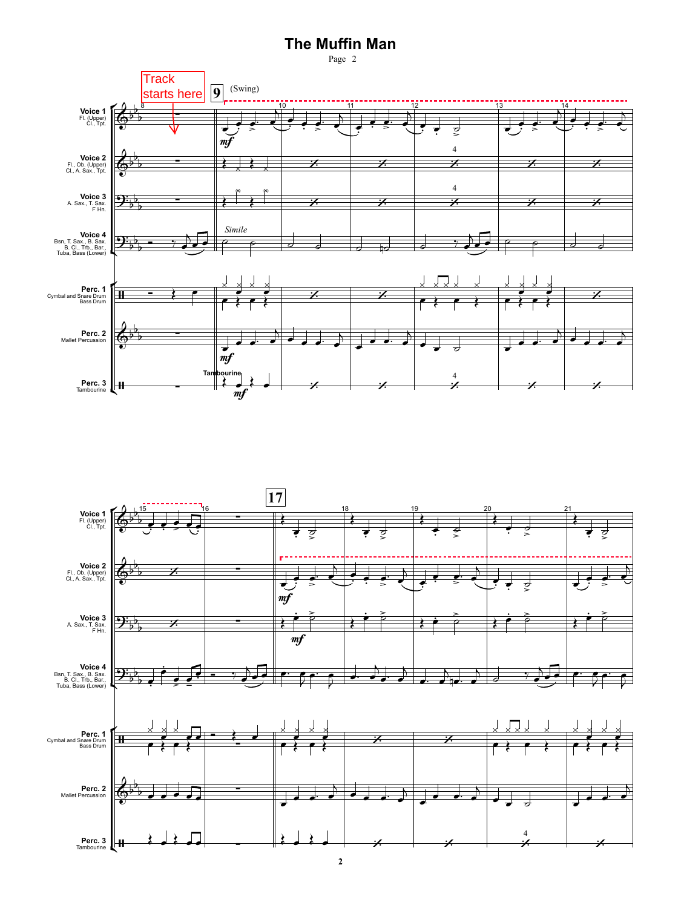## **The Muffin Man**